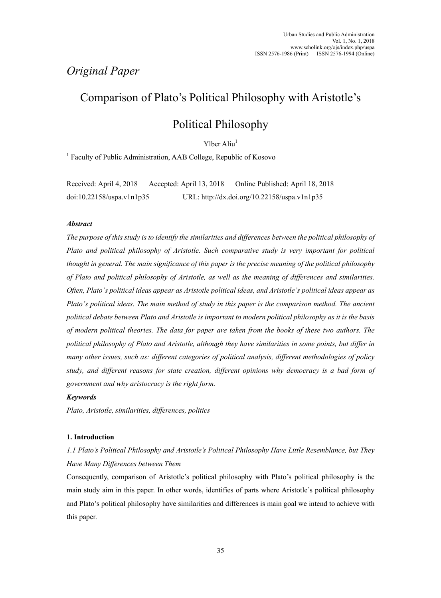## *Original Paper*

# Comparison of Plato's Political Philosophy with Aristotle's

# Political Philosophy

Ylber Aliu<sup>1</sup>

<sup>1</sup> Faculty of Public Administration, AAB College, Republic of Kosovo

Received: April 4, 2018 Accepted: April 13, 2018 Online Published: April 18, 2018 doi:10.22158/uspa.v1n1p35 URL: http://dx.doi.org/10.22158/uspa.v1n1p35

## *Abstract*

*The purpose of this study is to identify the similarities and differences between the political philosophy of Plato and political philosophy of Aristotle. Such comparative study is very important for political thought in general. The main significance of this paper is the precise meaning of the political philosophy of Plato and political philosophy of Aristotle, as well as the meaning of differences and similarities. Often, Plato's political ideas appear as Aristotle political ideas, and Aristotle's political ideas appear as Plato's political ideas. The main method of study in this paper is the comparison method. The ancient political debate between Plato and Aristotle is important to modern political philosophy as it is the basis of modern political theories. The data for paper are taken from the books of these two authors. The political philosophy of Plato and Aristotle, although they have similarities in some points, but differ in many other issues, such as: different categories of political analysis, different methodologies of policy study, and different reasons for state creation, different opinions why democracy is a bad form of government and why aristocracy is the right form.* 

### *Keywords*

*Plato, Aristotle, similarities, differences, politics* 

### **1. Introduction**

## *1.1 Plato's Political Philosophy and Aristotle's Political Philosophy Have Little Resemblance, but They Have Many Differences between Them*

Consequently, comparison of Aristotle's political philosophy with Plato's political philosophy is the main study aim in this paper. In other words, identifies of parts where Aristotle's political philosophy and Plato's political philosophy have similarities and differences is main goal we intend to achieve with this paper.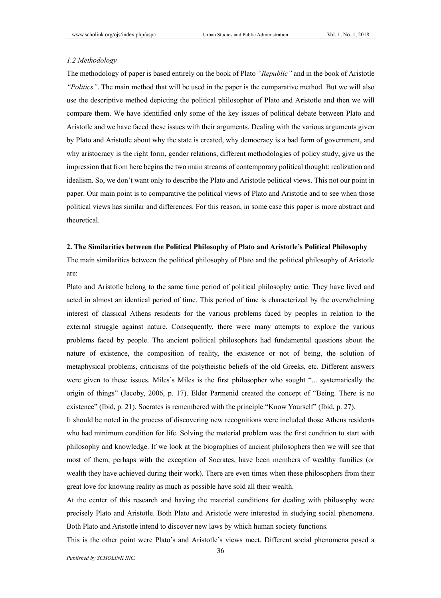### *1.2 Methodology*

The methodology of paper is based entirely on the book of Plato *"Republic"* and in the book of Aristotle *"Politics"*. The main method that will be used in the paper is the comparative method. But we will also use the descriptive method depicting the political philosopher of Plato and Aristotle and then we will compare them. We have identified only some of the key issues of political debate between Plato and Aristotle and we have faced these issues with their arguments. Dealing with the various arguments given by Plato and Aristotle about why the state is created, why democracy is a bad form of government, and why aristocracy is the right form, gender relations, different methodologies of policy study, give us the impression that from here begins the two main streams of contemporary political thought: realization and idealism. So, we don't want only to describe the Plato and Aristotle political views. This not our point in paper. Our main point is to comparative the political views of Plato and Aristotle and to see when those political views has similar and differences. For this reason, in some case this paper is more abstract and theoretical.

### **2. The Similarities between the Political Philosophy of Plato and Aristotle's Political Philosophy**

The main similarities between the political philosophy of Plato and the political philosophy of Aristotle are:

Plato and Aristotle belong to the same time period of political philosophy antic. They have lived and acted in almost an identical period of time. This period of time is characterized by the overwhelming interest of classical Athens residents for the various problems faced by peoples in relation to the external struggle against nature. Consequently, there were many attempts to explore the various problems faced by people. The ancient political philosophers had fundamental questions about the nature of existence, the composition of reality, the existence or not of being, the solution of metaphysical problems, criticisms of the polytheistic beliefs of the old Greeks, etc. Different answers were given to these issues. Miles's Miles is the first philosopher who sought "... systematically the origin of things" (Jacoby, 2006, p. 17). Elder Parmenid created the concept of "Being. There is no existence" (Ibid, p. 21). Socrates is remembered with the principle "Know Yourself" (Ibid, p. 27).

It should be noted in the process of discovering new recognitions were included those Athens residents who had minimum condition for life. Solving the material problem was the first condition to start with philosophy and knowledge. If we look at the biographies of ancient philosophers then we will see that most of them, perhaps with the exception of Socrates, have been members of wealthy families (or wealth they have achieved during their work). There are even times when these philosophers from their great love for knowing reality as much as possible have sold all their wealth.

At the center of this research and having the material conditions for dealing with philosophy were precisely Plato and Aristotle. Both Plato and Aristotle were interested in studying social phenomena. Both Plato and Aristotle intend to discover new laws by which human society functions.

This is the other point were Plato's and Aristotle's views meet. Different social phenomena posed a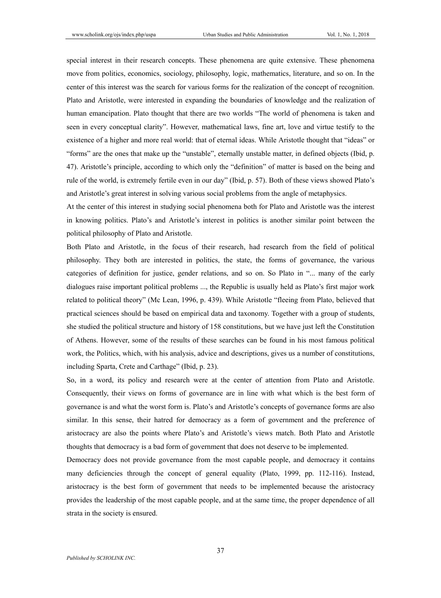special interest in their research concepts. These phenomena are quite extensive. These phenomena move from politics, economics, sociology, philosophy, logic, mathematics, literature, and so on. In the center of this interest was the search for various forms for the realization of the concept of recognition. Plato and Aristotle, were interested in expanding the boundaries of knowledge and the realization of human emancipation. Plato thought that there are two worlds "The world of phenomena is taken and seen in every conceptual clarity". However, mathematical laws, fine art, love and virtue testify to the existence of a higher and more real world: that of eternal ideas. While Aristotle thought that "ideas" or "forms" are the ones that make up the "unstable", eternally unstable matter, in defined objects (Ibid, p. 47). Aristotle's principle, according to which only the "definition" of matter is based on the being and rule of the world, is extremely fertile even in our day" (Ibid, p. 57). Both of these views showed Plato's and Aristotle's great interest in solving various social problems from the angle of metaphysics.

At the center of this interest in studying social phenomena both for Plato and Aristotle was the interest in knowing politics. Plato's and Aristotle's interest in politics is another similar point between the political philosophy of Plato and Aristotle.

Both Plato and Aristotle, in the focus of their research, had research from the field of political philosophy. They both are interested in politics, the state, the forms of governance, the various categories of definition for justice, gender relations, and so on. So Plato in "... many of the early dialogues raise important political problems ..., the Republic is usually held as Plato's first major work related to political theory" (Mc Lean, 1996, p. 439). While Aristotle "fleeing from Plato, believed that practical sciences should be based on empirical data and taxonomy. Together with a group of students, she studied the political structure and history of 158 constitutions, but we have just left the Constitution of Athens. However, some of the results of these searches can be found in his most famous political work, the Politics, which, with his analysis, advice and descriptions, gives us a number of constitutions, including Sparta, Crete and Carthage" (Ibid, p. 23).

So, in a word, its policy and research were at the center of attention from Plato and Aristotle. Consequently, their views on forms of governance are in line with what which is the best form of governance is and what the worst form is. Plato's and Aristotle's concepts of governance forms are also similar. In this sense, their hatred for democracy as a form of government and the preference of aristocracy are also the points where Plato's and Aristotle's views match. Both Plato and Aristotle thoughts that democracy is a bad form of government that does not deserve to be implemented.

Democracy does not provide governance from the most capable people, and democracy it contains many deficiencies through the concept of general equality (Plato, 1999, pp. 112-116). Instead, aristocracy is the best form of government that needs to be implemented because the aristocracy provides the leadership of the most capable people, and at the same time, the proper dependence of all strata in the society is ensured.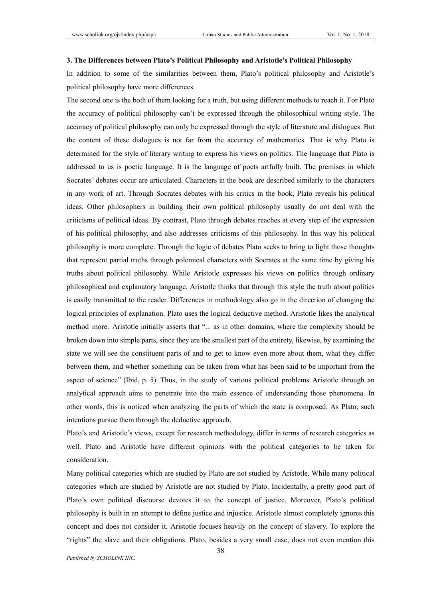### **3. The Differences between Plato's Political Philosophy and Aristotle's Political Philosophy**

In addition to some of the similarities between them, Plato's political philosophy and Aristotle's political philosophy have more differences.

The second one is the both of them looking for a truth, but using different methods to reach it. For Plato the accuracy of political philosophy can't be expressed through the philosophical writing style. The accuracy of political philosophy can only be expressed through the style of literature and dialogues. But the content of these dialogues is not far from the accuracy of mathematics. That is why Plato is determined for the style of literary writing to express his views on politics. The language that Plato is addressed to us is poetic language. It is the language of poets artfully built. The premises in which Socrates' debates occur are articulated. Characters in the book are described similarly to the characters in any work of art. Through Socrates debates with his critics in the book, Plato reveals his political ideas. Other philosophers in building their own political philosophy usually do not deal with the criticisms of political ideas. By contrast, Plato through debates reaches at every step of the expression of his political philosophy, and also addresses criticisms of this philosophy. In this way his political philosophy is more complete. Through the logic of debates Plato seeks to bring to light those thoughts that represent partial truths through polemical characters with Socrates at the same time by giving his truths about political philosophy. While Aristotle expresses his views on politics through ordinary philosophical and explanatory language. Aristotle thinks that through this style the truth about politics is easily transmitted to the reader. Differences in methodology also go in the direction of changing the logical principles of explanation. Plato uses the logical deductive method. Aristotle likes the analytical method more. Aristotle initially asserts that "... as in other domains, where the complexity should be broken down into simple parts, since they are the smallest part of the entirety, likewise, by examining the state we will see the constituent parts of and to get to know even more about them, what they differ between them, and whether something can be taken from what has been said to be important from the aspect of science" (Ibid, p. 5). Thus, in the study of various political problems Aristotle through an analytical approach aims to penetrate into the main essence of understanding those phenomena. In other words, this is noticed when analyzing the parts of which the state is composed. As Plato, such intentions pursue them through the deductive approach.

Plato's and Aristotle's views, except for research methodology, differ in terms of research categories as well. Plato and Aristotle have different opinions with the political categories to be taken for consideration.

Many political categories which are studied by Plato are not studied by Aristotle. While many political categories which are studied by Aristotle are not studied by Plato. Incidentally, a pretty good part of Plato's own political discourse devotes it to the concept of justice. Moreover, Plato's political philosophy is built in an attempt to define justice and injustice. Aristotle almost completely ignores this concept and does not consider it. Aristotle focuses heavily on the concept of slavery. To explore the "rights" the slave and their obligations. Plato, besides a very small case, does not even mention this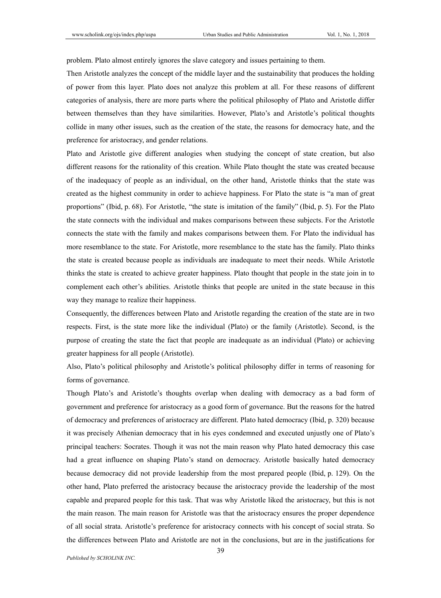problem. Plato almost entirely ignores the slave category and issues pertaining to them.

Then Aristotle analyzes the concept of the middle layer and the sustainability that produces the holding of power from this layer. Plato does not analyze this problem at all. For these reasons of different categories of analysis, there are more parts where the political philosophy of Plato and Aristotle differ between themselves than they have similarities. However, Plato's and Aristotle's political thoughts collide in many other issues, such as the creation of the state, the reasons for democracy hate, and the preference for aristocracy, and gender relations.

Plato and Aristotle give different analogies when studying the concept of state creation, but also different reasons for the rationality of this creation. While Plato thought the state was created because of the inadequacy of people as an individual, on the other hand, Aristotle thinks that the state was created as the highest community in order to achieve happiness. For Plato the state is "a man of great proportions" (Ibid, p. 68). For Aristotle, "the state is imitation of the family" (Ibid, p. 5). For the Plato the state connects with the individual and makes comparisons between these subjects. For the Aristotle connects the state with the family and makes comparisons between them. For Plato the individual has more resemblance to the state. For Aristotle, more resemblance to the state has the family. Plato thinks the state is created because people as individuals are inadequate to meet their needs. While Aristotle thinks the state is created to achieve greater happiness. Plato thought that people in the state join in to complement each other's abilities. Aristotle thinks that people are united in the state because in this way they manage to realize their happiness.

Consequently, the differences between Plato and Aristotle regarding the creation of the state are in two respects. First, is the state more like the individual (Plato) or the family (Aristotle). Second, is the purpose of creating the state the fact that people are inadequate as an individual (Plato) or achieving greater happiness for all people (Aristotle).

Also, Plato's political philosophy and Aristotle's political philosophy differ in terms of reasoning for forms of governance.

Though Plato's and Aristotle's thoughts overlap when dealing with democracy as a bad form of government and preference for aristocracy as a good form of governance. But the reasons for the hatred of democracy and preferences of aristocracy are different. Plato hated democracy (Ibid, p. 320) because it was precisely Athenian democracy that in his eyes condemned and executed unjustly one of Plato's principal teachers: Socrates. Though it was not the main reason why Plato hated democracy this case had a great influence on shaping Plato's stand on democracy. Aristotle basically hated democracy because democracy did not provide leadership from the most prepared people (Ibid, p. 129). On the other hand, Plato preferred the aristocracy because the aristocracy provide the leadership of the most capable and prepared people for this task. That was why Aristotle liked the aristocracy, but this is not the main reason. The main reason for Aristotle was that the aristocracy ensures the proper dependence of all social strata. Aristotle's preference for aristocracy connects with his concept of social strata. So the differences between Plato and Aristotle are not in the conclusions, but are in the justifications for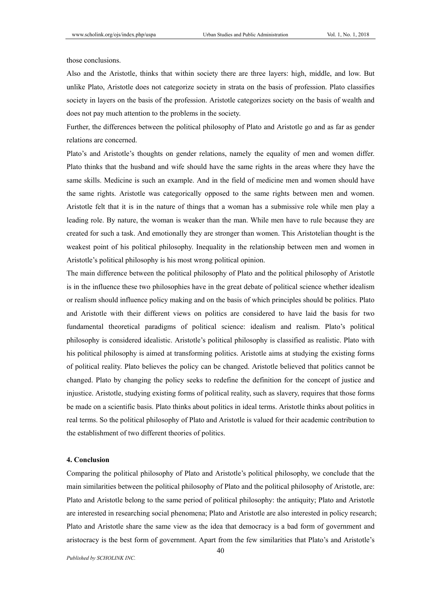those conclusions.

Also and the Aristotle, thinks that within society there are three layers: high, middle, and low. But unlike Plato, Aristotle does not categorize society in strata on the basis of profession. Plato classifies society in layers on the basis of the profession. Aristotle categorizes society on the basis of wealth and does not pay much attention to the problems in the society.

Further, the differences between the political philosophy of Plato and Aristotle go and as far as gender relations are concerned.

Plato's and Aristotle's thoughts on gender relations, namely the equality of men and women differ. Plato thinks that the husband and wife should have the same rights in the areas where they have the same skills. Medicine is such an example. And in the field of medicine men and women should have the same rights. Aristotle was categorically opposed to the same rights between men and women. Aristotle felt that it is in the nature of things that a woman has a submissive role while men play a leading role. By nature, the woman is weaker than the man. While men have to rule because they are created for such a task. And emotionally they are stronger than women. This Aristotelian thought is the weakest point of his political philosophy. Inequality in the relationship between men and women in Aristotle's political philosophy is his most wrong political opinion.

The main difference between the political philosophy of Plato and the political philosophy of Aristotle is in the influence these two philosophies have in the great debate of political science whether idealism or realism should influence policy making and on the basis of which principles should be politics. Plato and Aristotle with their different views on politics are considered to have laid the basis for two fundamental theoretical paradigms of political science: idealism and realism. Plato's political philosophy is considered idealistic. Aristotle's political philosophy is classified as realistic. Plato with his political philosophy is aimed at transforming politics. Aristotle aims at studying the existing forms of political reality. Plato believes the policy can be changed. Aristotle believed that politics cannot be changed. Plato by changing the policy seeks to redefine the definition for the concept of justice and injustice. Aristotle, studying existing forms of political reality, such as slavery, requires that those forms be made on a scientific basis. Plato thinks about politics in ideal terms. Aristotle thinks about politics in real terms. So the political philosophy of Plato and Aristotle is valued for their academic contribution to the establishment of two different theories of politics.

#### **4. Conclusion**

Comparing the political philosophy of Plato and Aristotle's political philosophy, we conclude that the main similarities between the political philosophy of Plato and the political philosophy of Aristotle, are: Plato and Aristotle belong to the same period of political philosophy: the antiquity; Plato and Aristotle are interested in researching social phenomena; Plato and Aristotle are also interested in policy research; Plato and Aristotle share the same view as the idea that democracy is a bad form of government and aristocracy is the best form of government. Apart from the few similarities that Plato's and Aristotle's